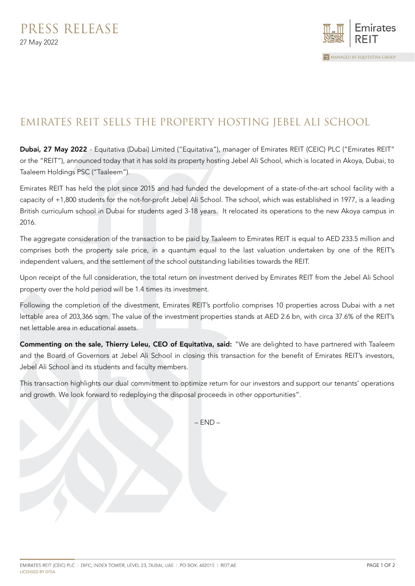

## EMIRATES REIT SELLS THE PROPERTY HOSTING JEBEL ALI SCHOOL

Dubai, 27 May 2022 - Equitativa (Dubai) Limited ("Equitativa"), manager of Emirates REIT (CEIC) PLC ("Emirates REIT" or the "REIT"), announced today that it has sold its property hosting Jebel Ali School, which is located in Akoya, Dubai, to Taaleem Holdings PSC ("Taaleem").

Emirates REIT has held the plot since 2015 and had funded the development of a state-of-the-art school facility with a capacity of +1,800 students for the not-for-profit Jebel Ali School. The school, which was established in 1977, is a leading British curriculum school in Dubai for students aged 3-18 years. It relocated its operations to the new Akoya campus in 2016.

The aggregate consideration of the transaction to be paid by Taaleem to Emirates REIT is equal to AED 233.5 million and comprises both the property sale price, in a quantum equal to the last valuation undertaken by one of the REIT's independent valuers, and the settlement of the school outstanding liabilities towards the REIT.

Upon receipt of the full consideration, the total return on investment derived by Emirates REIT from the Jebel Ali School property over the hold period will be 1.4 times its investment.

Following the completion of the divestment, Emirates REIT's portfolio comprises 10 properties across Dubai with a net lettable area of 203,366 sqm. The value of the investment properties stands at AED 2.6 bn, with circa 37.6% of the REIT's net lettable area in educational assets.

Commenting on the sale, Thierry Leleu, CEO of Equitativa, said: "We are delighted to have partnered with Taaleem and the Board of Governors at Jebel Ali School in closing this transaction for the benefit of Emirates REIT's investors, Jebel Ali School and its students and faculty members.

This transaction highlights our dual commitment to optimize return for our investors and support our tenants' operations and growth. We look forward to redeploying the disposal proceeds in other opportunities".

 $-$  END  $-$